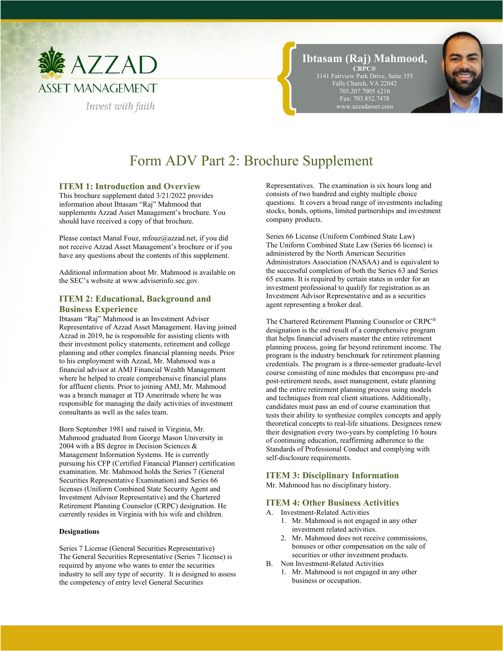

# **Ibtasam (Raj) Mahmood, CRPC®**

3141 Fairview Park Drive, Suite 355 Falls Church, VA 22042 703.207.7005 x216 Fax: 703.852.7478 www.azzadasset.com

# Form ADV Part 2: Brochure Supplement

## **ITEM 1: Introduction and Overview**

This brochure supplement dated 3/21/2022 provides information about Ibtasam "Raj" Mahmood that supplements Azzad Asset Management's brochure. You should have received a copy of that brochure.

Please contact Manal Fouz, mfouz@azzad.net, if you did not receive Azzad Asset Management's brochure or if you have any questions about the contents of this supplement.

Additional information about Mr. Mahmood is available on the SEC's website at www.adviserinfo.sec.gov.

## **ITEM 2: Educational, Background and Business Experience**

Ibtasam "Raj" Mahmood is an Investment Adviser Representative of Azzad Asset Management. Having joined Azzad in 2019, he is responsible for assisting clients with their investment policy statements, retirement and college planning and other complex financial planning needs. Prior to his employment with Azzad, Mr. Mahmood was a financial advisor at AMJ Financial Wealth Management where he helped to create comprehensive financial plans for affluent clients. Prior to joining AMJ, Mr. Mahmood was a branch manager at TD Ameritrade where he was responsible for managing the daily activities of investment consultants as well as the sales team.

Born September 1981 and raised in Virginia, Mr. Mahmood graduated from George Mason University in 2004 with a BS degree in Decision Sciences & Management Information Systems. He is currently pursuing his CFP (Certified Financial Planner) certification examination. Mr. Mahmood holds the Series 7 (General Securities Representative Examination) and Series 66 licenses (Uniform Combined State Security Agent and Investment Advisor Representative) and the Chartered Retirement Planning Counselor (CRPC) designation. He currently resides in Virginia with his wife and children.

#### **Designations**

Series 7 License (General Securities Representative) The General Securities Representative (Series 7 license) is required by anyone who wants to enter the securities industry to sell any type of security. It is designed to assess the competency of entry level General Securities

Representatives. The examination is six hours long and consists of two hundred and eighty multiple choice questions. It covers a broad range of investments including stocks, bonds, options, limited partnerships and investment company products.

Series 66 License (Uniform Combined State Law) The Uniform Combined State Law (Series 66 license) is administered by the North American Securities Administrators Association (NASAA) and is equivalent to the successful completion of both the Series 63 and Series 65 exams. It is required by certain states in order for an investment professional to qualify for registration as an Investment Advisor Representative and as a securities agent representing a broker deal.

The Chartered Retirement Planning Counselor or CRPC® designation is the end result of a comprehensive program that helps financial advisers master the entire retirement planning process, going far beyond retirement income. The program is the industry benchmark for retirement planning credentials. The program is a three-semester graduate-level course consisting of nine modules that encompass pre-and post-retirement needs, asset management, estate planning and the entire retirement planning process using models and techniques from real client situations. Additionally, candidates must pass an end of course examination that tests their ability to synthesize complex concepts and apply theoretical concepts to real-life situations. Designees renew their designation every two-years by completing 16 hours of continuing education, reaffirming adherence to the Standards of Professional Conduct and complying with self-disclosure requirements.

## **ITEM 3: Disciplinary Information**

Mr. Mahmood has no disciplinary history.

#### **ITEM 4: Other Business Activities**

- A. Investment-Related Activities
	- 1. Mr. Mahmood is not engaged in any other investment related activities.
	- 2. Mr. Mahmood does not receive commissions, bonuses or other compensation on the sale of securities or other investment products.
- B. Non Investment-Related Activities
	- 1. Mr. Mahmood is not engaged in any other business or occupation.